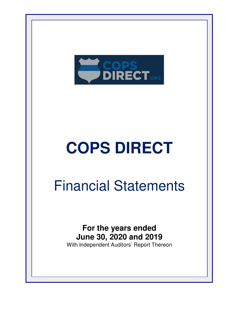

## Financial Statements

**For the years ended June 30, 2020 and 2019** With Independent Auditors' Report Thereon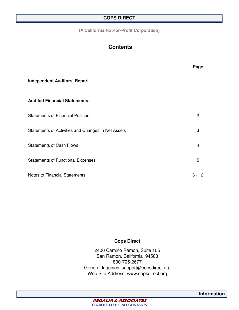**(A California Not-for-Profit Corporation)** 

## **Contents**

|                                                    | Page     |
|----------------------------------------------------|----------|
| <b>Independent Auditors' Report</b>                |          |
| <b>Audited Financial Statements:</b>               |          |
| <b>Statements of Financial Position</b>            | 2        |
| Statements of Activities and Changes in Net Assets | 3        |
| <b>Statements of Cash Flows</b>                    | 4        |
| <b>Statements of Functional Expenses</b>           | 5        |
| Notes to Financial Statements                      | $6 - 12$ |

#### **Cops Direct**

2400 Camino Ramon, Suite 105 San Ramon, California 94583 800-705-2677 General Inquiries: support@copsdirect.org Web Site Address: www.copsdirect.org



**Information**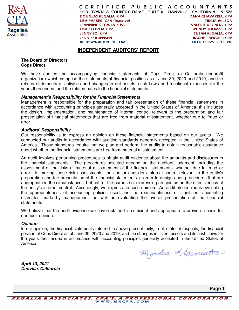

CERTIFIED PUBLIC ACCOUNTANTS 103 TOWN & COUNTRY DRIVE, SUITE K, DANVILLE, CALIFORNIA 94526 **DANA CHAVARRIA, CPA DOUGLAS REGALIA, CPA LISA PARKER, CPA [inactive] TRICIA WILSON JEANNINE REGALIA, CPA VALERIE REGALIA. CPA LISA CLOVEN, CPA WENDY THOMAS, CPA JENNY SO, CPA SUSAN REGALIA, CPA JENNIFER JENSEN RACHEL BERGER, CPA** OFFICE: 925.314.0390 **WEB: WWW.MRCPA.COM** 

#### **INDEPENDENT AUDITORS' REPORT**

#### **The Board of Directors Cops Direct**

We have audited the accompanying financial statements of Cops Direct (a California nonprofit organization) which comprise the statements of financial position as of June 30, 2020 and 2019, and the related statements of activities and changes in net assets, cash flows and functional expenses for the years then ended, and the related notes to the financial statements.

#### **Management's Responsibility for the Financial Statements**

Management is responsible for the preparation and fair presentation of these financial statements in accordance with accounting principles generally accepted in the United States of America; this includes the design, implementation, and maintenance of internal control relevant to the preparation and fair presentation of financial statements that are free from material misstatement, whether due to fraud or error.

#### **Auditors' Responsibility**

Our responsibility is to express an opinion on these financial statements based on our audits. We conducted our audits in accordance with auditing standards generally accepted in the United States of America. Those standards require that we plan and perform the audits to obtain reasonable assurance about whether the financial statements are free from material misstatement.

An audit involves performing procedures to obtain audit evidence about the amounts and disclosures in the financial statements. The procedures selected depend on the auditors' judgment, including the assessment of the risks of material misstatement of the financial statements, whether due to fraud or error. In making those risk assessments, the auditor considers internal control relevant to the entity's preparation and fair presentation of the financial statements in order to design audit procedures that are appropriate in the circumstances, but not for the purpose of expressing an opinion on the effectiveness of the entity's internal control. Accordingly, we express no such opinion. An audit also includes evaluating the appropriateness of accounting policies used and the reasonableness of significant accounting estimates made by management, as well as evaluating the overall presentation of the financial statements.

We believe that the audit evidence we have obtained is sufficient and appropriate to provide a basis for our audit opinion.

#### **Opinion**

In our opinion, the financial statements referred to above present fairly, in all material respects, the financial position of Cops Direct as of June 30, 2020 and 2019, and the changes in its net assets and its cash flows for the years then ended in accordance with accounting principles generally accepted in the United States of America.

Regalia & Associates

**April 13, 2021 Danville, California** 

**Page 1**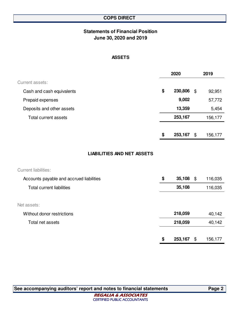## **Statements of Financial Position June 30, 2020 and 2019**

#### **ASSETS**

|                           | 2020 |         | 2019 |         |
|---------------------------|------|---------|------|---------|
| Current assets:           |      |         |      |         |
| Cash and cash equivalents | \$   | 230,806 | \$   | 92,951  |
| Prepaid expenses          |      | 9,002   |      | 57,772  |
| Deposits and other assets |      | 13,359  |      | 5,454   |
| Total current assets      |      | 253,167 |      | 156,177 |
|                           |      |         |      |         |
|                           | \$   | 253,167 | \$   | 156,177 |

#### **LIABILITIES AND NET ASSETS**

| <b>Current liabilities:</b>              |               |      |         |
|------------------------------------------|---------------|------|---------|
| Accounts payable and accrued liabilities | \$<br>35,108  | - \$ | 116,035 |
| <b>Total current liabilities</b>         | 35,108        |      | 116,035 |
|                                          |               |      |         |
| Net assets:                              |               |      |         |
| Without donor restrictions               | 218,059       |      | 40,142  |
| Total net assets                         | 218,059       |      | 40,142  |
|                                          |               |      |         |
|                                          | \$<br>253,167 | \$   | 156,177 |

**See accompanying auditors' report and notes to financial statements Page 2**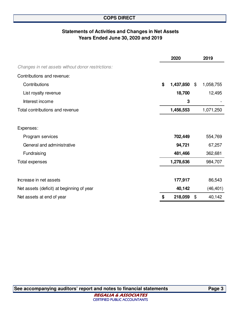## **Statements of Activities and Changes in Net Assets Years Ended June 30, 2020 and 2019**

|                                                   | 2020            | 2019            |
|---------------------------------------------------|-----------------|-----------------|
| Changes in net assets without donor restrictions: |                 |                 |
| Contributions and revenue:                        |                 |                 |
| Contributions                                     | \$<br>1,437,850 | \$<br>1,058,755 |
| List royalty revenue                              | 18,700          | 12,495          |
| Interest income                                   | 3               |                 |
| Total contributions and revenue                   | 1,456,553       | 1,071,250       |
|                                                   |                 |                 |
| Expenses:                                         |                 |                 |
| Program services                                  | 702,449         | 554,769         |
| General and administrative                        | 94,721          | 67,257          |
| Fundraising                                       | 481,466         | 362,681         |
| <b>Total expenses</b>                             | 1,278,636       | 984,707         |
|                                                   |                 |                 |
| Increase in net assets                            | 177,917         | 86,543          |
| Net assets (deficit) at beginning of year         | 40,142          | (46, 401)       |
| Net assets at end of year                         | \$<br>218,059   | \$<br>40,142    |

**See accompanying auditors' report and notes to financial statements Page 3**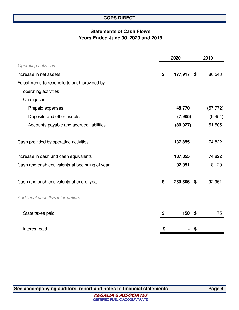## **Statements of Cash Flows Years Ended June 30, 2020 and 2019**

|                                                | 2020          |                            | 2019      |  |
|------------------------------------------------|---------------|----------------------------|-----------|--|
| <b>Operating activities:</b>                   |               |                            |           |  |
| Increase in net assets                         | \$<br>177,917 | \$                         | 86,543    |  |
| Adjustments to reconcile to cash provided by   |               |                            |           |  |
| operating activities:                          |               |                            |           |  |
| Changes in:                                    |               |                            |           |  |
| Prepaid expenses                               | 48,770        |                            | (57, 772) |  |
| Deposits and other assets                      | (7, 905)      |                            | (5, 454)  |  |
| Accounts payable and accrued liabilities       | (80, 927)     |                            | 51,505    |  |
|                                                |               |                            |           |  |
| Cash provided by operating activities          | 137,855       |                            | 74,822    |  |
| Increase in cash and cash equivalents          | 137,855       |                            | 74,822    |  |
| Cash and cash equivalents at beginning of year | 92,951        |                            | 18,129    |  |
|                                                |               |                            |           |  |
| Cash and cash equivalents at end of year       | \$<br>230,806 | $\boldsymbol{\mathsf{\$}}$ | 92,951    |  |
| Additional cash flow information:              |               |                            |           |  |
| State taxes paid                               | \$<br>150     | \$                         | 75        |  |
| Interest paid                                  | \$            | \$                         |           |  |

**See accompanying auditors' report and notes to financial statements Page 4**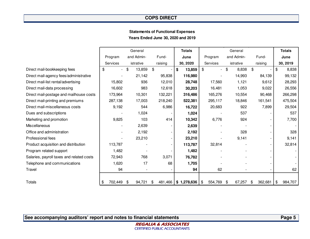#### **Statements of Functional ExpensesYears Ended June 30, 2020 and 2019**

|                                           |                                | General      |         | <b>Totals</b>         | General       |                                    |               | <b>Totals</b> |
|-------------------------------------------|--------------------------------|--------------|---------|-----------------------|---------------|------------------------------------|---------------|---------------|
|                                           | Program                        | and Admin-   | Fund-   | June                  | Program       | and Admin-                         | Fund-         | June          |
|                                           | <b>Services</b>                | istrative    | raising | 30, 2020              | Services      | istrative                          | raising       | 30, 2019      |
| Direct mail-bookkeeping fees              | \$<br>$\overline{\phantom{0}}$ | \$<br>13,859 | \$      | 13,859                | \$<br>$\sim$  | $\boldsymbol{\mathsf{s}}$<br>8,838 | \$            | \$<br>8,838   |
| Direct mail-agency fees/administrative    |                                | 21,142       | 95,838  | 116,980               |               | 14,993                             | 84,139        | 99,132        |
| Direct mail-list rental/advertising       | 15,802                         | 936          | 12,010  | 28,748                | 17,560        | 1,121                              | 9,612         | 28,293        |
| Direct mail-data processing               | 16,602                         | 983          | 12,618  | 30,203                | 16,481        | 1,053                              | 9,022         | 26,556        |
| Direct mail-postage and mailhouse costs   | 173,964                        | 10,301       | 132,221 | 316,486               | 165,276       | 10,554                             | 90,468        | 266,298       |
| Direct mail-printing and premiums         | 287,138                        | 17,003       | 218,240 | 522,381               | 295,117       | 18,846                             | 161,541       | 475,504       |
| Direct mail-miscellaneous costs           | 9,192                          | 544          | 6,986   | 16,722                | 20,683        | 922                                | 7,899         | 29,504        |
| Dues and subscriptions                    |                                | 1,024        |         | 1,024                 |               | 537                                |               | 537           |
| Marketing and promotion                   | 9,825                          | 103          | 414     | 10,342                | 6,776         | 924                                |               | 7,700         |
| Miscellaneous                             |                                | 2,639        |         | 2,639                 |               |                                    |               |               |
| Office and administration                 |                                | 2,192        |         | 2,192                 |               | 328                                |               | 328           |
| Professional fees                         |                                | 23,210       |         | 23,210                |               | 9,141                              |               | 9,141         |
| Product acquisition and distribution      | 113,787                        |              |         | 113,787               | 32,814        |                                    |               | 32,814        |
| Program related support                   | 1,482                          |              |         | 1,482                 |               |                                    |               |               |
| Salaries, payroll taxes and related costs | 72,943                         | 768          | 3,071   | 76,782                |               |                                    |               |               |
| Telephone and communications              | 1,620                          | 17           | 68      | 1,705                 |               |                                    |               |               |
| Travel                                    | 94                             |              |         | 94                    | 62            |                                    |               | 62            |
|                                           |                                |              |         |                       |               |                                    |               |               |
| Totals                                    | 702,449<br>\$                  | 94,721<br>\$ | \$      | 481,466   \$1,278,636 | 554,769<br>\$ | 67,257<br>\$                       | 362,681<br>\$ | \$<br>984,707 |

**See accompanying auditors' report and notes to financial statements**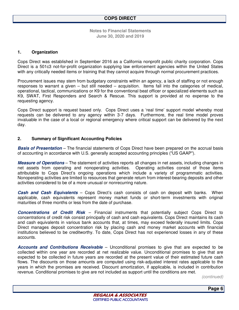#### **1. Organization**

Cops Direct was established in September 2016 as a California nonprofit public charity corporation. Cops Direct is a 501c3 not-for-profit organization supplying law enforcement agencies within the United States with any critically needed items or training that they cannot acquire through normal procurement practices.

Procurement issues may stem from budgetary constraints within an agency, a lack of staffing or not enough responses to warrant a given – but still needed – acquisition. Items fall into the categories of medical, operational, tactical, communications or K9 for the conventional beat officer or specialized elements such as K9, SWAT, First Responders and Search & Rescue. This support is provided at no expense to the requesting agency.

Cops Direct support is request based only. Cops Direct uses a 'real time' support model whereby most requests can be delivered to any agency within 3-7 days. Furthermore, the real time model proves invaluable in the case of a local or regional emergency where critical support can be delivered by the next day.

#### **2. Summary of Significant Accounting Policies**

**Basis of Presentation** – The financial statements of Cops Direct have been prepared on the accrual basis of accounting in accordance with U.S. generally accepted accounting principles ("US GAAP").

**Measure of Operations** – The statement of activities reports all changes in net assets, including changes in net assets from operating and nonoperating activities. Operating activities consist of those items attributable to Cops Direct's ongoing operations which include a variety of programmatic activities. Nonoperating activities are limited to resources that generate return from interest-bearing deposits and other activities considered to be of a more unusual or nonrecurring nature.

**Cash and Cash Equivalents** – Cops Direct's cash consists of cash on deposit with banks. When applicable, cash equivalents represent money market funds or short-term investments with original maturities of three months or less from the date of purchase.

**Concentrations of Credit Risk** – Financial instruments that potentially subject Cops Direct to concentrations of credit risk consist principally of cash and cash equivalents. Cops Direct maintains its cash and cash equivalents in various bank accounts that, at times, may exceed federally insured limits. Cops Direct manages deposit concentration risk by placing cash and money market accounts with financial institutions believed to be creditworthy. To date, Cops Direct has not experienced losses in any of these accounts.

**Accounts and Contributions Receivable** – Unconditional promises to give that are expected to be collected within one year are recorded at net realizable value. Unconditional promises to give that are expected to be collected in future years are recorded at the present value of their estimated future cash flows. The discounts on those amounts are computed using risk-adjusted interest rates applicable to the years in which the promises are received. Discount amortization, if applicable, is included in contribution revenue. Conditional promises to give are not included as support until the conditions are met.

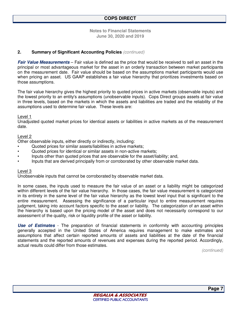#### **2. Summary of Significant Accounting Policies** *(continued)*

**Fair Value Measurements** – Fair value is defined as the price that would be received to sell an asset in the principal or most advantageous market for the asset in an orderly transaction between market participants on the measurement date. Fair value should be based on the assumptions market participants would use when pricing an asset. US GAAP establishes a fair value hierarchy that prioritizes investments based on those assumptions.

The fair value hierarchy gives the highest priority to quoted prices in active markets (observable inputs) and the lowest priority to an entity's assumptions (unobservable inputs). Cops Direct groups assets at fair value in three levels, based on the markets in which the assets and liabilities are traded and the reliability of the assumptions used to determine fair value. These levels are:

#### Level 1

Unadjusted quoted market prices for identical assets or liabilities in active markets as of the measurement date.

#### Level 2

Other observable inputs, either directly or indirectly, including:

- Quoted prices for similar assets/liabilities in active markets;
- Quoted prices for identical or similar assets in non-active markets;
- Inputs other than quoted prices that are observable for the asset/liability; and,
- Inputs that are derived principally from or corroborated by other observable market data.

#### Level 3

Unobservable inputs that cannot be corroborated by observable market data.

In some cases, the inputs used to measure the fair value of an asset or a liability might be categorized within different levels of the fair value hierarchy. In those cases, the fair value measurement is categorized in its entirety in the same level of the fair value hierarchy as the lowest level input that is significant to the entire measurement. Assessing the significance of a particular input to entire measurement requires judgment, taking into account factors specific to the asset or liability. The categorization of an asset within the hierarchy is based upon the pricing model of the asset and does not necessarily correspond to our assessment of the quality, risk or liquidity profile of the asset or liability.

**Use of Estimates** - The preparation of financial statements in conformity with accounting principles generally accepted in the United States of America requires management to make estimates and assumptions that affect certain reported amounts of assets and liabilities at the date of the financial statements and the reported amounts of revenues and expenses during the reported period. Accordingly, actual results could differ from those estimates.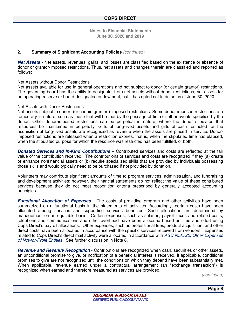#### **2. Summary of Significant Accounting Policies** *(continued)*

**Net Assets** - Net assets, revenues, gains, and losses are classified based on the existence or absence of donor or grantor-imposed restrictions. Thus, net assets and changes therein are classified and reported as follows:

#### Net Assets without Donor Restrictions

Net assets available for use in general operations and not subject to donor (or certain grantor) restrictions. The governing board has the ability to designate, from net assets without donor restrictions, net assets for an operating reserve or board-designated endowment, but it has opted not to do so as of June 30, 2020.

#### Net Assets with Donor Restrictions

Net assets subject to donor- (or certain grantor-) imposed restrictions. Some donor-imposed restrictions are temporary in nature, such as those that will be met by the passage of time or other events specified by the donor. Other donor-imposed restrictions can be perpetual in nature, where the donor stipulates that resources be maintained in perpetuity. Gifts of long-lived assets and gifts of cash restricted for the acquisition of long-lived assets are recognized as revenue when the assets are placed in service. Donorimposed restrictions are released when a restriction expires, that is, when the stipulated time has elapsed, when the stipulated purpose for which the resource was restricted has been fulfilled, or both.

**Donated Services and In-Kind Contributions** – Contributed services and costs are reflected at the fair value of the contribution received. The contributions of services and costs are recognized if they (a) create or enhance nonfinancial assets or (b) require specialized skills that are provided by individuals possessing those skills and would typically need to be purchased if not provided by donation.

Volunteers may contribute significant amounts of time to program services, administration, and fundraising and development activities; however, the financial statements do not reflect the value of these contributed services because they do not meet recognition criteria prescribed by generally accepted accounting principles.

**Functional Allocation of Expenses** - The costs of providing program and other activities have been summarized on a functional basis in the statements of activities. Accordingly, certain costs have been allocated among services and supporting services benefited. Such allocations are determined by management on an equitable basis. Certain expenses, such as salaries, payroll taxes and related costs, telephone and communications and other overhead have been allocated based on time and effort using Cops Direct's payroll allocations. Other expenses, such as professional fees, product acquisition, and other direct costs have been allocated in accordance with the specific services received from vendors. Expenses related to Cops Direct's direct mail activity were allocated in accordance with *ASC 958.720, Other Expenses of Not-for-Profit Entities.* See further discussion in Note 8.

**Revenue and Revenue Recognition** - Contributions are recognized when cash, securities or other assets, an unconditional promise to give, or notification of a beneficial interest is received. If applicable, conditional promises to give are not recognized until the conditions on which they depend have been substantially met. When applicable, revenue earned under a contractual arrangement (an "exchange transaction") is recognized when earned and therefore measured as services are provided.

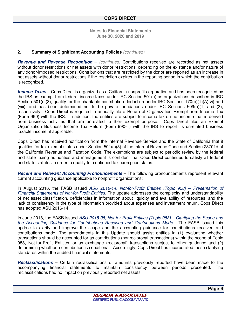#### **2. Summary of Significant Accounting Policies** *(continued)*

**Revenue and Revenue Recognition** – *(continued)* Contributions received are recorded as net assets without donor restrictions or net assets with donor restrictions, depending on the existence and/or nature of any donor-imposed restrictions. Contributions that are restricted by the donor are reported as an increase in net assets without donor restrictions if the restriction expires in the reporting period in which the contribution is recognized.

**Income Taxes** – Cops Direct is organized as a California nonprofit corporation and has been recognized by the IRS as exempt from federal income taxes under IRC Section 501(a) as organizations described in IRC Section 501(c)(3), qualify for the charitable contribution deduction under IRC Sections 170(b)(1)(A)(vi) and (viii), and has been determined not to be private foundations under IRC Sections 509(a)(1) and (3), respectively. Cops Direct is required to annually file a Return of Organization Exempt from Income Tax (Form 990) with the IRS. In addition, the entities are subject to income tax on net income that is derived from business activities that are unrelated to their exempt purpose. Cops Direct files an Exempt Organization Business Income Tax Return (Form 990-T) with the IRS to report its unrelated business taxable income, if applicable.

Cops Direct has received notification from the Internal Revenue Service and the State of California that it qualifies for tax-exempt status under Section 501(c)(3) of the Internal Revenue Code and Section 23701d of the California Revenue and Taxation Code. The exemptions are subject to periodic review by the federal and state taxing authorities and management is confident that Cops Direct continues to satisfy all federal and state statutes in order to qualify for continued tax exemption status.

**Recent and Relevant Accounting Pronouncements** – The following pronouncements represent relevant current accounting guidance applicable to nonprofit organizations:

In August 2016, the FASB issued *ASU 2016-14, Not-for-Profit Entities (Topic 958)* – *Presentation of Financial Statements of Not-for-Profit Entities*. The update addresses the complexity and understandability of net asset classification, deficiencies in information about liquidity and availability of resources, and the lack of consistency in the type of information provided about expenses and investment return. Cops Direct has adopted ASU 2016-14.

In June 2018, the FASB issued *ASU 2018-08, Not-for-Profit Entities (Topic 958) – Clarifying the Scope and the Accounting Guidance for Contributions Received and Contributions Made*. The FASB issued this update to clarify and improve the scope and the accounting guidance for contributions received and contributions made. The amendments in this Update should assist entities in (1) evaluating whether transactions should be accounted for as contributions (nonreciprocal transactions) within the scope of Topic 958, Not-for-Profit Entities, or as exchange (reciprocal) transactions subject to other guidance and (2) determining whether a contribution is conditional. Accordingly, Cops Direct has incorporated these clarifying standards within the audited financial statements.

**Reclassifications** – Certain reclassifications of amounts previously reported have been made to the accompanying financial statements to maintain consistency between periods presented. The reclassifications had no impact on previously reported net assets.

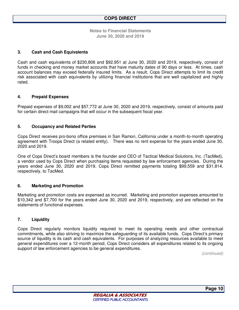#### **3. Cash and Cash Equivalents**

Cash and cash equivalents of \$230,806 and \$92,951 at June 30, 2020 and 2019, respectively, consist of funds in checking and money market accounts that have maturity dates of 90 days or less. At times, cash account balances may exceed federally insured limits. As a result, Cops Direct attempts to limit its credit risk associated with cash equivalents by utilizing financial institutions that are well capitalized and highly rated.

#### **4. Prepaid Expenses**

Prepaid expenses of \$9,002 and \$57,772 at June 30, 2020 and 2019, respectively, consist of amounts paid for certain direct mail campaigns that will occur in the subsequent fiscal year.

#### **5. Occupancy and Related Parties**

Cops Direct receives pro-bono office premises in San Ramon, California under a month-to-month operating agreement with Troops Direct (a related entity). There was no rent expense for the years ended June 30, 2020 and 2019.

One of Cops Direct's board members is the founder and CEO of Tactical Medical Solutions, Inc. (TacMed), a vendor used by Cops Direct when purchasing items requested by law enforcement agencies. During the years ended June 30, 2020 and 2019, Cops Direct remitted payments totaling \$99,559 and \$31,814, respectively, to TacMed.

#### **6. Marketing and Promotion**

Marketing and promotion costs are expensed as incurred. Marketing and promotion expenses amounted to \$10,342 and \$7,700 for the years ended June 30, 2020 and 2019, respectively, and are reflected on the statements of functional expenses.

#### **7. Liquidity**

Cops Direct regularly monitors liquidity required to meet its operating needs and other contractual commitments, while also striving to maximize the safeguarding of its available funds. Cops Direct's primary source of liquidity is its cash and cash equivalents. For purposes of analyzing resources available to meet general expenditures over a 12-month period, Cops Direct considers all expenditures related to its ongoing support of law enforcement agencies to be general expenditures.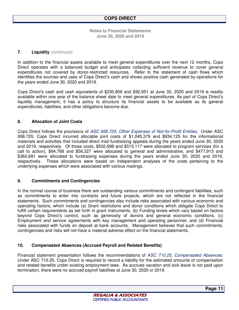#### **7. Liquidity** *(continued)*

In addition to the financial assets available to meet general expenditures over the next 12 months, Cops Direct operates with a balanced budget and anticipates collecting sufficient revenue to cover general expenditures not covered by donor-restricted resources. Refer to the statement of cash flows which identifies the sources and uses of Cops Direct's cash and shows positive cash generated by operations for the years ended June 30, 2020 and 2019.

Cops Direct's cash and cash equivalents of \$230,806 and \$92,951 at June 30, 2020 and 2019 is readily available within one year of the balance sheet date to meet general expenditures. As part of Cops Direct's liquidity management, it has a policy to structure its financial assets to be available as its general expenditures, liabilities, and other obligations become due.

#### **8. Allocation of Joint Costs**

Cops Direct follows the provisions of *ASC 958.720, Other Expenses of Not-for-Profit Entities.* Under ASC 958.720, Cops Direct incurred allocable joint costs of \$1,045,379 and \$934,125 for the informational materials and activities that included direct mail fundraising appeals during the years ended June 30, 2020 and 2019, respectively. Of those costs, \$502,698 and \$515,117 were allocated to program services (for a call to action), \$64,768 and \$56,327 were allocated to general and administrative, and \$477,913 and \$362,681 were allocated to fundraising expenses during the years ended June 30, 2020 and 2019, respectively. These allocations were based on independent analyses of the costs pertaining to the underlying expenses which were associated with various mailings.

#### **9. Commitments and Contingencies**

In the normal course of business there are outstanding various commitments and contingent liabilities, such as commitments to enter into contracts and future projects, which are not reflected in the financial statements. Such commitments and contingencies also include risks associated with various economic and operating factors, which include (a) Grant restrictions and donor conditions which obligate Cops Direct to fulfill certain requirements as set forth in grant instruments, (b) Funding levels which vary based on factors beyond Cops Direct's control, such as generosity of donors and general economic conditions, (c) Employment and service agreements with key management and operating personnel, and (d) Financial risks associated with funds on deposit at bank accounts. Management believes that such commitments, contingencies and risks will not have a material adverse effect on the financial statements.

#### **10. Compensated Absences (Accrued Payroll and Related Benefits)**

Financial statement presentation follows the recommendations of *ASC 710.25*, *Compensated Absences*. Under ASC 710.25, Cops Direct is required to record a liability for the estimated amounts of compensation and related benefits under existing employment laws. As accrued vacation and sick leave is not paid upon termination, there were no accrued payroll liabilities at June 30, 2020 or 2019.